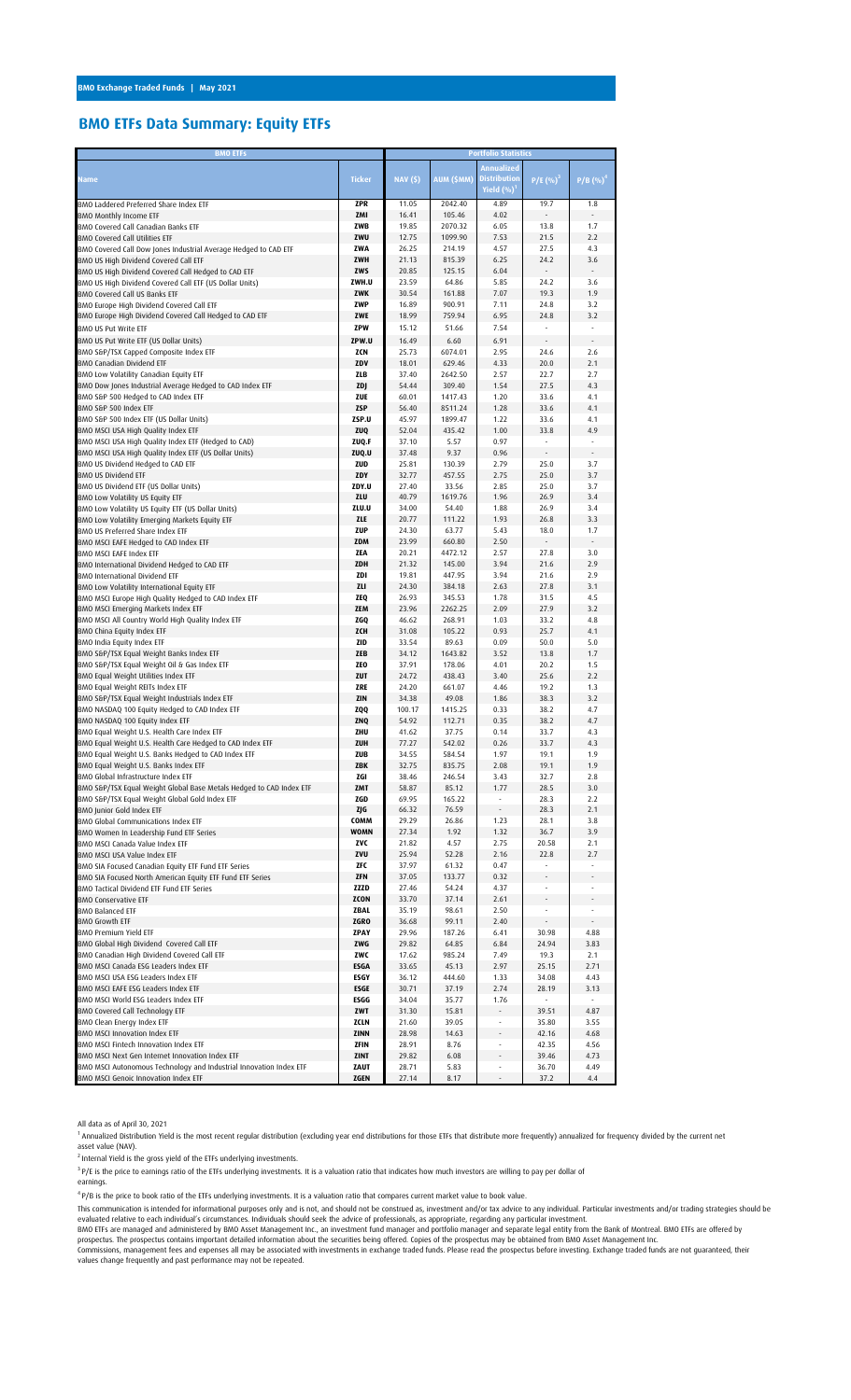## **BMO ETFs Data Summary: Equity ETFs**

| <b>BMO ETFS</b>                                                     | <b>Portfolio Statistics</b> |                 |                   |                                                       |                      |                      |  |  |  |  |
|---------------------------------------------------------------------|-----------------------------|-----------------|-------------------|-------------------------------------------------------|----------------------|----------------------|--|--|--|--|
| Name                                                                | <b>Ticker</b>               | <b>NAV (\$)</b> | AUM (\$MM)        | <b>Annualized</b><br><b>Distribution</b><br>Yield (%) | P/E (%) <sup>3</sup> | P/B (%) <sup>4</sup> |  |  |  |  |
| BMO Laddered Preferred Share Index ETF                              | ZPR                         | 11.05           | 2042.40           | 4.89                                                  | 19.7                 | 1.8                  |  |  |  |  |
| BMO Monthly Income ETF                                              | ZMI                         | 16.41           | 105.46            | 4.02                                                  |                      |                      |  |  |  |  |
| BMO Covered Call Canadian Banks ETF                                 | ZWB                         | 19.85           | 2070.32           | 6.05                                                  | 13.8                 | 1.7                  |  |  |  |  |
| BMO Covered Call Utilities ETF                                      | ZWU                         | 12.75           | 1099.90           | 7.53                                                  | 21.5                 | 2.2                  |  |  |  |  |
| BMO Covered Call Dow Jones Industrial Average Hedged to CAD ETF     | <b>ZWA</b>                  | 26.25           | 214.19            | 4.57                                                  | 27.5                 | 4.3                  |  |  |  |  |
| BMO US High Dividend Covered Call ETF                               | ZWH                         | 21.13           | 815.39            | 6.25                                                  | 24.2                 | 3.6                  |  |  |  |  |
| BMO US High Dividend Covered Call Hedged to CAD ETF                 | <b>ZWS</b>                  | 20.85           | 125.15            | 6.04                                                  |                      |                      |  |  |  |  |
| BMO US High Dividend Covered Call ETF (US Dollar Units)             | ZWH.U                       | 23.59           | 64.86             | 5.85                                                  | 24.2                 | 3.6                  |  |  |  |  |
| BMO Covered Call US Banks ETF                                       | ZWK                         | 30.54           | 161.88            | 7.07                                                  | 19.3                 | 1.9                  |  |  |  |  |
| BMO Europe High Dividend Covered Call ETF                           | ZWP                         | 16.89           | 900.91            | 7.11                                                  | 24.8                 | 3.2                  |  |  |  |  |
| BMO Europe High Dividend Covered Call Hedged to CAD ETF             | ZWE                         | 18.99           | 759.94            | 6.95                                                  | 24.8                 | 3.2                  |  |  |  |  |
| BMO US Put Write ETF                                                | <b>ZPW</b>                  | 15.12           | 51.66             | 7.54                                                  |                      |                      |  |  |  |  |
| BMO US Put Write ETF (US Dollar Units)                              | ZPW.U                       | 16.49           | 6.60              | 6.91                                                  |                      |                      |  |  |  |  |
| BMO S&P/TSX Capped Composite Index ETF                              | <b>ZCN</b>                  | 25.73           | 6074.01           | 2.95                                                  | 24.6                 | 2.6                  |  |  |  |  |
| BMO Canadian Dividend ETF                                           | ZDV                         | 18.01           | 629.46            | 4.33                                                  | 20.0                 | 2.1                  |  |  |  |  |
| BMO Low Volatility Canadian Equity ETF                              | ZLB                         | 37.40           | 2642.50           | 2.57                                                  | 22.7                 | 2.7                  |  |  |  |  |
| BMO Dow Jones Industrial Average Hedged to CAD Index ETF            | <b>ZDJ</b>                  | 54.44           | 309.40            | 1.54                                                  | 27.5                 | 4.3                  |  |  |  |  |
| BMO S&P 500 Hedged to CAD Index ETF                                 | ZUE                         | 60.01           | 1417.43           | 1.20                                                  | 33.6                 | 4.1                  |  |  |  |  |
| BMO S&P 500 Index ETF                                               | <b>ZSP</b>                  | 56.40           | 8511.24           | 1.28                                                  | 33.6                 | 4.1                  |  |  |  |  |
| BMO S&P 500 Index ETF (US Dollar Units)                             | ZSP.U                       | 45.97           | 1899.47           | 1.22                                                  | 33.6                 | 4.1                  |  |  |  |  |
| BMO MSCI USA High Quality Index ETF                                 | ZUQ                         | 52.04           | 435.42            | 1.00                                                  | 33.8                 | 4.9                  |  |  |  |  |
| BMO MSCI USA High Quality Index ETF (Hedged to CAD)                 | ZUQ.F                       | 37.10           | 5.57              | 0.97                                                  | $\overline{a}$       |                      |  |  |  |  |
| BMO MSCI USA High Quality Index ETF (US Dollar Units)               | ZUQ.U                       | 37.48           | 9.37              | 0.96                                                  |                      |                      |  |  |  |  |
| BMO US Dividend Hedged to CAD ETF                                   | ZUD                         | 25.81           | 130.39            | 2.79                                                  | 25.0                 | 3.7                  |  |  |  |  |
| BMO US Dividend ETF                                                 | ZDY                         | 32.77           | 457.55            | 2.75                                                  | 25.0                 | 3.7                  |  |  |  |  |
| BMO US Dividend ETF (US Dollar Units)                               | ZDY.U                       | 27.40           | 33.56             | 2.85                                                  | 25.0                 | 3.7                  |  |  |  |  |
| BMO Low Volatility US Equity ETF                                    | ZLU                         | 40.79           | 1619.76           | 1.96                                                  | 26.9                 | 3.4                  |  |  |  |  |
| BMO Low Volatility US Equity ETF (US Dollar Units)                  | ZLU.U                       | 34.00           | 54.40             | 1.88                                                  | 26.9                 | 3.4                  |  |  |  |  |
| BMO Low Volatility Emerging Markets Equity ETF                      | <b>ZLE</b>                  | 20.77           | 111.22            | 1.93                                                  | 26.8                 | 3.3                  |  |  |  |  |
| BMO US Preferred Share Index ETF                                    | ZUP                         | 24.30           | 63.77             | 5.43                                                  | 18.0                 | 1.7                  |  |  |  |  |
| BMO MSCI EAFE Hedged to CAD Index ETF                               | ZDM                         | 23.99           | 660.80            | 2.50                                                  |                      |                      |  |  |  |  |
|                                                                     |                             |                 |                   | 2.57                                                  |                      | 3.0                  |  |  |  |  |
| BMO MSCI EAFE Index ETF                                             | ZEA<br>ZDH                  | 20.21<br>21.32  | 4472.12<br>145.00 | 3.94                                                  | 27.8<br>21.6         | 2.9                  |  |  |  |  |
| BMO International Dividend Hedged to CAD ETF                        |                             |                 |                   |                                                       |                      |                      |  |  |  |  |
| BMO International Dividend ETF                                      | <b>ZDI</b>                  | 19.81<br>24.30  | 447.95            | 3.94                                                  | 21.6<br>27.8         | 2.9                  |  |  |  |  |
| BMO Low Volatility International Equity ETF                         | ZLI                         | 26.93           | 384.18            | 2.63<br>1.78                                          | 31.5                 | 3.1<br>4.5           |  |  |  |  |
| BMO MSCI Europe High Quality Hedged to CAD Index ETF                | <b>ZEQ</b>                  |                 | 345.53            |                                                       |                      |                      |  |  |  |  |
| BMO MSCI Emerging Markets Index ETF                                 | ZEM                         | 23.96           | 2262.25           | 2.09                                                  | 27.9                 | 3.2                  |  |  |  |  |
| BMO MSCI All Country World High Quality Index ETF                   | <b>ZGQ</b>                  | 46.62           | 268.91            | 1.03                                                  | 33.2                 | 4.8                  |  |  |  |  |
| BMO China Equity Index ETF                                          | <b>ZCH</b>                  | 31.08           | 105.22            | 0.93                                                  | 25.7                 | 4.1                  |  |  |  |  |
| BMO India Equity Index ETF                                          | <b>ZID</b>                  | 33.54           | 89.63             | 0.09                                                  | 50.0                 | 5.0                  |  |  |  |  |
| BMO S&P/TSX Equal Weight Banks Index ETF                            | <b>ZEB</b>                  | 34.12           | 1643.82           | 3.52                                                  | 13.8                 | 1.7                  |  |  |  |  |
| BMO S&P/TSX Equal Weight Oil & Gas Index ETF                        | ZE <sub>0</sub>             | 37.91           | 178.06            | 4.01                                                  | 20.2                 | 1.5                  |  |  |  |  |
| BMO Equal Weight Utilities Index ETF                                | ZUT                         | 24.72           | 438.43            | 3.40                                                  | 25.6                 | 2.2                  |  |  |  |  |
| BMO Equal Weight REITs Index ETF                                    | ZRE                         | 24.20           | 661.07            | 4.46                                                  | 19.2                 | 1.3                  |  |  |  |  |
| BMO S&P/TSX Equal Weight Industrials Index ETF                      | <b>ZIN</b>                  | 34.38           | 49.08             | 1.86                                                  | 38.3                 | 3.2                  |  |  |  |  |
| BMO NASDAQ 100 Equity Hedged to CAD Index ETF                       | <b>ZQQ</b>                  | 100.17          | 1415.25           | 0.33                                                  | 38.2                 | 4.7                  |  |  |  |  |
| BMO NASDAQ 100 Equity Index ETF                                     | <b>ZNQ</b>                  | 54.92           | 112.71            | 0.35                                                  | 38.2                 | 4.7                  |  |  |  |  |
| BMO Equal Weight U.S. Health Care Index ETF                         | ZHU                         | 41.62           | 37.75             | 0.14                                                  | 33.7                 | 4.3                  |  |  |  |  |
| BMO Equal Weight U.S. Health Care Hedged to CAD Index ETF           | ZUH                         | 77.27           | 542.02            | 0.26                                                  | 33.7                 | 4.3                  |  |  |  |  |
| BMO Equal Weight U.S. Banks Hedged to CAD Index ETF                 | ZUB                         | 34.55           | 584.54            | 1.97                                                  | 19.1                 | 1.9                  |  |  |  |  |
| BMO Equal Weight U.S. Banks Index ETF                               | ZBK                         | 32.75           | 835.75            | 2.08                                                  | 19.1                 | 1.9                  |  |  |  |  |
| BMO Global Infrastructure Index ETF                                 | ZGI                         | 38.46           | 246.54            | 3.43                                                  | 32.7                 | 2.8                  |  |  |  |  |
| BMO S&P/TSX Equal Weight Global Base Metals Hedged to CAD Index ETF | ZMT                         | 58.87           | 85.12             | 1.77                                                  | 28.5                 | 3.0                  |  |  |  |  |
| BMO S&P/TSX Equal Weight Global Gold Index ETF                      | <b>ZGD</b>                  | 69.95           | 165.22            |                                                       | 28.3                 | 2.2                  |  |  |  |  |
| BMO Junior Gold Index ETF                                           | ZJG                         | 66.32           | 76.59             |                                                       | 28.3                 | 2.1                  |  |  |  |  |
| BMO Global Communications Index ETF                                 | COMM                        | 29.29           | 26.86             | 1.23                                                  | 28.1                 | 3.8                  |  |  |  |  |
| BMO Women In Leadership Fund ETF Series                             | <b>WOMN</b>                 | 27.34           | 1.92              | 1.32                                                  | 36.7                 | 3.9                  |  |  |  |  |
| BMO MSCI Canada Value Index ETF                                     | ZVC                         | 21.82           | 4.57              | 2.75                                                  | 20.58                | 2.1                  |  |  |  |  |
| BMO MSCI USA Value Index ETF                                        | ZVU                         | 25.94           | 52.28             | 2.16                                                  | 22.8                 | 2.7                  |  |  |  |  |
| BMO SIA Focused Canadian Equity ETF Fund ETF Series                 | ZFC                         | 37.97           | 61.32             | 0.47                                                  |                      |                      |  |  |  |  |
| BMO SIA Focused North American Equity ETF Fund ETF Series           | <b>ZFN</b>                  | 37.05           | 133.77            | 0.32                                                  |                      |                      |  |  |  |  |
| BMO Tactical Dividend ETF Fund ETF Series                           | <b>ZZZD</b>                 | 27.46           | 54.24             | 4.37                                                  |                      |                      |  |  |  |  |
| <b>BMO Conservative ETF</b>                                         | ZCON                        | 33.70           | 37.14             | 2.61                                                  |                      |                      |  |  |  |  |
| <b>BMO Balanced ETF</b>                                             | ZBAL                        | 35.19           | 98.61             | 2.50                                                  |                      |                      |  |  |  |  |
| <b>BMO Growth ETF</b>                                               | ZGRO                        | 36.68           | 99.11             | 2.40                                                  |                      |                      |  |  |  |  |
| BMO Premium Yield ETF                                               | ZPAY                        | 29.96           | 187.26            | 6.41                                                  | 30.98                | 4.88                 |  |  |  |  |
| BMO Global High Dividend Covered Call ETF                           | ZWG                         | 29.82           | 64.85             | 6.84                                                  | 24.94                | 3.83                 |  |  |  |  |
| BMO Canadian High Dividend Covered Call ETF                         | ZWC                         | 17.62           | 985.24            | 7.49                                                  | 19.3                 | 2.1                  |  |  |  |  |
| BMO MSCI Canada ESG Leaders Index ETF                               | ESGA                        | 33.65           | 45.13             | 2.97                                                  | 25.15                | 2.71                 |  |  |  |  |
| BMO MSCI USA ESG Leaders Index ETF                                  | ESGY                        | 36.12           | 444.60            | 1.33                                                  | 34.08                | 4.43                 |  |  |  |  |
| BMO MSCI EAFE ESG Leaders Index ETF                                 | ESGE                        | 30.71           | 37.19             | 2.74                                                  | 28.19                | 3.13                 |  |  |  |  |
| BMO MSCI World ESG Leaders Index ETF                                | ESGG                        | 34.04           | 35.77             | 1.76                                                  |                      |                      |  |  |  |  |
| BMO Covered Call Technology ETF                                     | ZWT                         | 31.30           | 15.81             |                                                       | 39.51                | 4.87                 |  |  |  |  |
| BMO Clean Energy Index ETF                                          | ZCLN                        | 21.60           | 39.05             |                                                       | 35.80                | 3.55                 |  |  |  |  |
| BMO MSCI Innovation Index ETF                                       | ZINN                        | 28.98           | 14.63             |                                                       | 42.16                | 4.68                 |  |  |  |  |
| BMO MSCI Fintech Innovation Index ETF                               | ZFIN                        | 28.91           | 8.76              |                                                       | 42.35                | 4.56                 |  |  |  |  |
| BMO MSCI Next Gen Internet Innovation Index ETF                     | <b>ZINT</b>                 | 29.82           | 6.08              |                                                       | 39.46                | 4.73                 |  |  |  |  |
| BMO MSCI Autonomous Technology and Industrial Innovation Index ETF  | ZAUT                        | 28.71           | 5.83              |                                                       | 36.70                | 4.49                 |  |  |  |  |
| BMO MSCI Genoic Innovation Index ETF                                | ZGEN                        | 27.14           | 8.17              | $\overline{\phantom{a}}$                              | 37.2                 | 4.4                  |  |  |  |  |

All data as of April 30, 2021

<sup>1</sup>Annualized Distribution Yield is the most recent regular distribution (excluding year end distributions for those ETFs that distribute more frequently) annualized for frequency divided by the current net asset value (NAV).

<sup>2</sup> Internal Yield is the gross yield of the ETFs underlying investments.

<sup>3</sup>P/E is the price to earnings ratio of the ETFs underlying investments. It is a valuation ratio that indicates how much investors are willing to pay per dollar of

earnings.

<sup>4</sup> P/B is the price to book ratio of the ETFs underlying investments. It is a valuation ratio that compares current market value to book value.

This communication is intended for informational purposes only and is not, and should not be construed as, investment and/or tax advice to any individual. Particular investments and/or trading strategies should be

evaluated relative to each individual's circumstances. Individuals should seek the advice of professionals, as appropriate, regarding any particular investment.<br>prospectus. The prospectus contains important detailed inform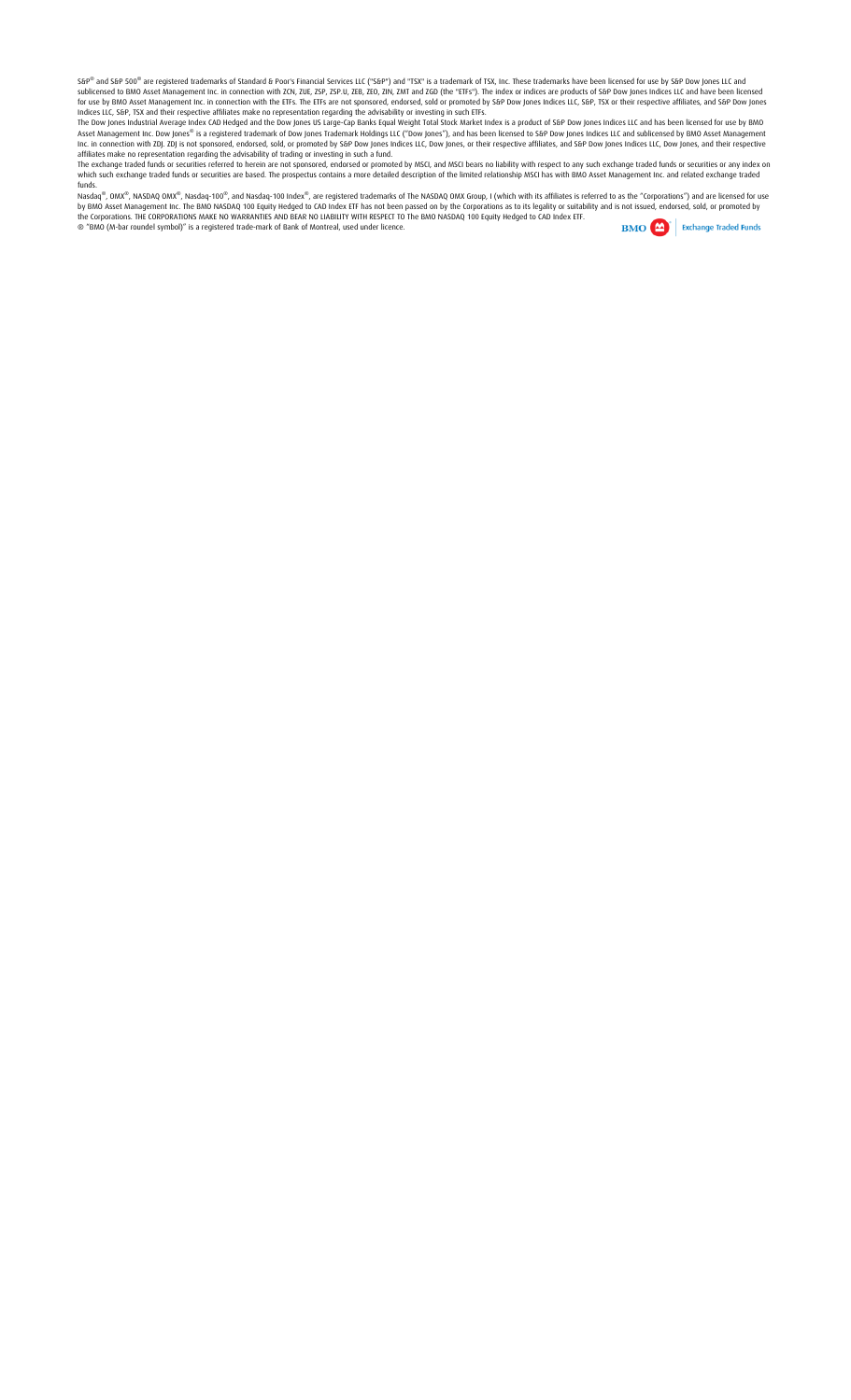S&P® and S&P 500® are registered trademarks of Standard & Poor's Financial Services LLC ("S&P") and "TSX" is a trademark of TSX, Inc. These trademarks have been licensed for use by S&P Dow Jones LLC and sublicensed for us

Asset Management Inc. Dow Jones® is a registered trademark of Dow Jones Trademark Holdings LLC ("Dow Jones"), and has been licensed to S&P Dow Jones Indices LLC and sublicensed by BMO Asset Management<br>Inc. in connection wi

funds.

Nasdaq®, OMX®, NASDAQ OMX®, Nasdaq-100®, and Nasdaq-100 Index®, are registered trademarks of The NASDAQ OMX Group, I (which with its affiliates is referred to as the "Corporations") and are licensed for use<br>by BMO Asset Ma **BMO** Exchange Traded Funds ® "BMO (M-bar roundel symbol)" is a registered trade-mark of Bank of Montreal, used under licence.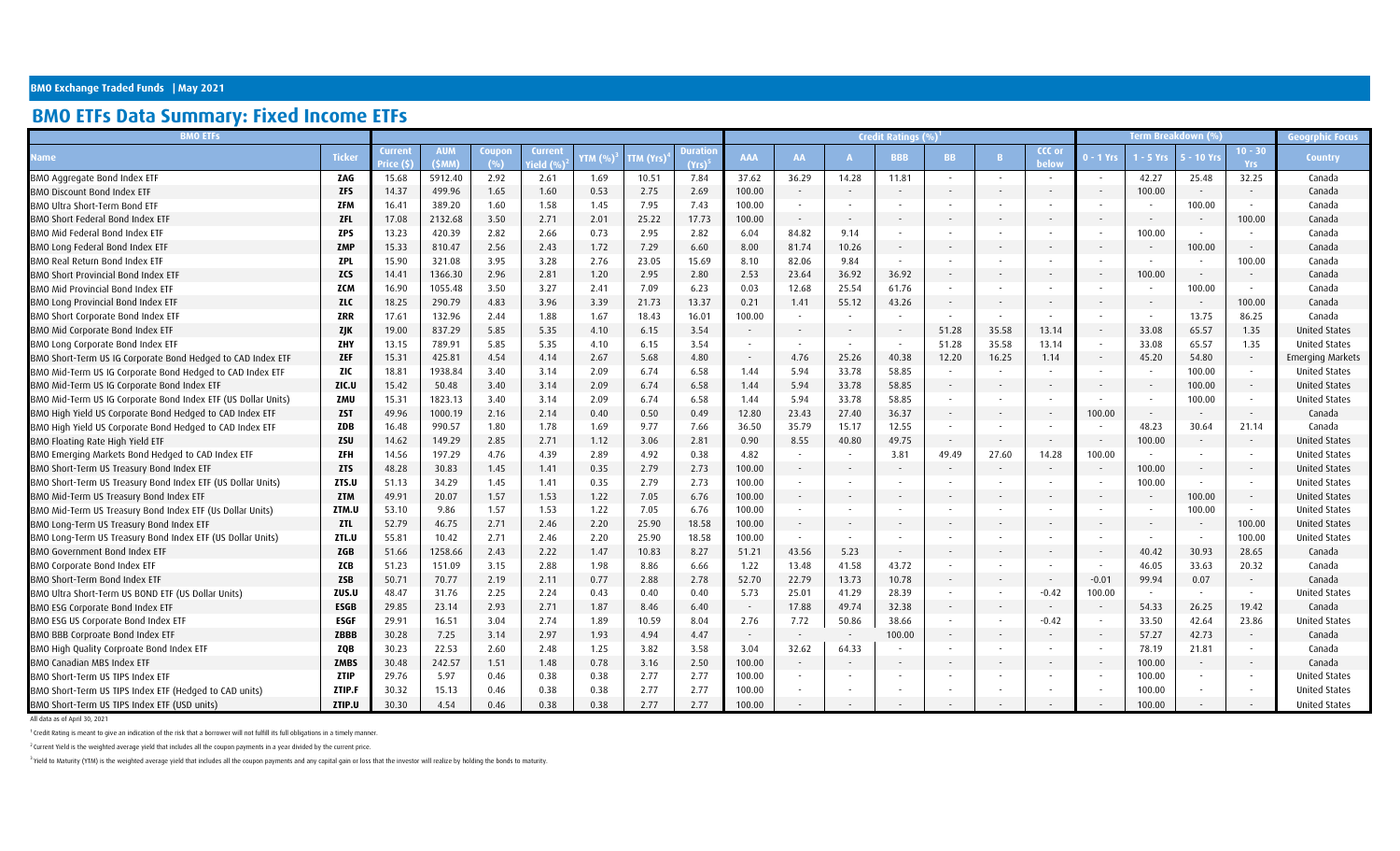## **BMO Exchange Traded Funds | May 2021**

## **BMO ETFs Data Summary: Fixed Income ETFs**

| <b>BMO ETFS</b>                                               |                  |                    |         |       |      |         |         |                |            |           |        | <b>Credit Ratings (%</b> |                          |        |                          |          |            | Term Breakdown (%        |                         | <b>Geogrphic Focus</b>  |
|---------------------------------------------------------------|------------------|--------------------|---------|-------|------|---------|---------|----------------|------------|-----------|--------|--------------------------|--------------------------|--------|--------------------------|----------|------------|--------------------------|-------------------------|-------------------------|
|                                                               | <b>Ticke</b>     | Currer<br>rice (\$ | (ŚMM    | (9/0) |      | YTM (%) | TM (Yrs | ırati<br>(Yrs) | <b>AAA</b> | <b>AA</b> |        | <b>BBB</b>               | <b>RR</b>                |        | CCC 0                    | ) - 1 Yr | $-5Yr$     | $-10Y$                   | $10 - 30$<br><b>Yrs</b> | Country                 |
| BMO Aggregate Bond Index ETF                                  | ZAG              | 15.68              | 5912.40 | 2.92  | 2.61 | 1.69    | 10.51   | 7.84           | 37.62      | 36.29     | 14.28  | 11.81                    | $\sim$                   | $\sim$ | $\sim$                   |          | 42.27      | 25.48                    | 32.25                   | Canada                  |
| <b>BMO Discount Bond Index ETF</b>                            | <b>ZFS</b>       | 14.37              | 499.96  | 1.65  | 1.60 | 0.53    | 2.75    | 2.69           | 100.00     | $\sim$    |        | $\sim$                   | $\sim$                   | $\sim$ | $\sim$                   |          | 100.00     | $\sim$                   | $\sim$ $-$              | Canada                  |
| BMO Ultra Short-Term Bond ETF                                 | <b>ZFM</b>       | 16.41              | 389.20  | 1.60  | 1.58 | 1.45    | 7.95    | 7.43           | 100.00     | $\sim$    |        | $\sim$                   |                          |        |                          |          |            | 100.00                   | $\sim$                  | Canada                  |
| BMO Short Federal Bond Index ETI                              | <b>ZFL</b>       | 17.08              | 2132.68 | 3.50  | 2.71 | 2.01    | 25.22   | 17.73          | 100.00     | $\sim$    |        | $\sim$                   |                          | $\sim$ |                          |          | $\sim$     | $\sim$                   | 100.00                  | Canada                  |
| BMO Mid Federal Bond Index ETF                                | <b>ZPS</b>       | 13.23              | 420.39  | 2.82  | 2.66 | 0.73    | 2.95    | 2.82           | 6.04       | 84.82     | 9.14   |                          |                          |        | $\sim$                   |          | 100.00     | $\overline{\phantom{a}}$ | $\sim$                  | Canada                  |
| BMO Long Federal Bond Index ETF                               | <b>ZMP</b>       | 15.33              | 810.47  | 2.56  | 2.43 | 1.72    | 7.29    | 6.60           | 8.00       | 81.74     | 10.26  | $\sim$                   |                          | $\sim$ |                          |          | $\sim$     | 100.00                   | $\sim$ $-$              | Canada                  |
| BMO Real Return Bond Index ETI                                | <b>ZPL</b>       | 15.90              | 321.08  | 3.95  | 3.28 | 2.76    | 23.05   | 15.69          | 8.10       | 82.06     | 9.84   | $\sim$                   |                          | $\sim$ |                          |          | $\sim$     | $\sim$                   | 100.00                  | Canada                  |
| <b>BMO Short Provincial Bond Index ETF</b>                    | <b>ZCS</b>       | 14.41              | 1366.30 | 2.96  | 2.81 | 1.20    | 2.95    | 2.80           | 2.53       | 23.64     | 36.92  | 36.92                    | $\overline{\phantom{a}}$ | $\sim$ |                          |          | 100.00     | $\sim$                   | $\sim$ $-$              | Canada                  |
| BMO Mid Provincial Bond Index ETF                             | ZCM              | 16.90              | 1055.48 | 3.50  | 3.27 | 2.41    | 7.09    | 6.23           | 0.03       | 12.68     | 25.54  | 61.76                    |                          | $\sim$ | $\sim$                   |          | $\sim$     | 100.00                   | $\sim$                  | Canada                  |
| BMO Long Provincial Bond Index ETF                            | $\mathcal{I}$ IC | 18.25              | 290.79  | 4.83  | 3.96 | 3.39    | 21.73   | 13.37          | 0.21       | 1.41      | 55.12  | 43.26                    | $\overline{\phantom{a}}$ | $\sim$ |                          |          | $\sim$     |                          | 100.00                  | Canada                  |
| BMO Short Corporate Bond Index ETF                            | <b>ZRR</b>       | 17.61              | 132.96  | 2.44  | 1.88 | 1.67    | 18.43   | 16.01          | 100.00     |           |        |                          |                          |        |                          |          | $\sim$     | 13.75                    | 86.25                   | Canada                  |
| BMO Mid Corporate Bond Index ETF                              | <b>ZJK</b>       | 19.00              | 837.29  | 5.85  | 5.35 | 4.10    | 6.15    | 3.54           | $\sim$     | $\sim$    | $\sim$ | $\sim$                   | 51.28                    | 35.58  | 13.14                    |          | 33.08      | 65.57                    | 1.35                    | <b>United States</b>    |
| BMO Long Corporate Bond Index ETF                             | ZHY              | 13.15              | 789.91  | 5.85  | 5.35 | 4.10    | 6.15    | 3.54           | $\sim$     | $\sim$    | $\sim$ | $\sim$                   | 51.28                    | 35.58  | 13.14                    |          | 33.08      | 65.57                    | 1.35                    | <b>United States</b>    |
| BMO Short-Term US IG Corporate Bond Hedged to CAD Index ETF   | <b>ZEF</b>       | 15.31              | 425.81  | 4.54  | 4.14 | 2.67    | 5.68    | 4.80           | $\sim$     | 4.76      | 25.26  | 40.38                    | 12.20                    | 16.25  | 1.14                     |          | 45.20      | 54.80                    | $\sim$                  | <b>Emerging Markets</b> |
| BMO Mid-Term US IG Corporate Bond Hedged to CAD Index ETF     | 7IC              | 18.81              | 1938.84 | 3.40  | 3.14 | 2.09    | 6.74    | 6.58           | 1.44       | 5.94      | 33.78  | 58.85                    |                          |        |                          |          | $\sim$     | 100.00                   | $\sim$                  | <b>United States</b>    |
| BMO Mid-Term US IG Corporate Bond Index ETF                   | ZIC.U            | 15.42              | 50.48   | 3.40  | 3.14 | 2.09    | 6.74    | 6.58           | 1.44       | 5.94      | 33.78  | 58.85                    | $\sim$                   | $\sim$ | $\sim$                   | $\sim$   | $\sim$ $-$ | 100.00                   | $\sim$ $-$              | <b>United States</b>    |
| BMO Mid-Term US IG Corporate Bond Index ETF (US Dollar Units) | ZMU              | 15.31              | 1823.13 | 3.40  | 3.14 | 2.09    | 6.74    | 6.58           | 1.44       | 5.94      | 33.78  | 58.85                    |                          | $\sim$ |                          |          | $\sim$     | 100.00                   | $\sim$                  | <b>United States</b>    |
| BMO High Yield US Corporate Bond Hedged to CAD Index ETF      | <b>ZST</b>       | 49.96              | 1000.19 | 2.16  | 2.14 | 0.40    | 0.50    | 0.49           | 12.80      | 23.43     | 27.40  | 36.37                    | $\sim$                   | $\sim$ | $\sim$                   | 100.00   | $\sim$     | $\sim$                   | $\sim$ $-$              | Canada                  |
| BMO High Yield US Corporate Bond Hedged to CAD Index ETF      | ZDB              | 16.48              | 990.57  | 1.80  | 1.78 | 1.69    | 9.77    | 7.66           | 36.50      | 35.79     | 15.17  | 12.55                    |                          | $\sim$ |                          |          | 48.23      | 30.64                    | 21.14                   | Canada                  |
| BMO Floating Rate High Yield ETF                              | <b>ZSU</b>       | 14.62              | 149.29  | 2.85  | 2.71 | 1.12    | 3.06    | 2.81           | 0.90       | 8.55      | 40.80  | 49.75                    | $\sim$                   | $\sim$ | $\sim$                   |          | 100.00     | $\sim$                   | $\sim$                  | <b>United States</b>    |
| BMO Emerging Markets Bond Hedged to CAD Index ETF             | <b>ZFH</b>       | 14.56              | 197.29  | 4.76  | 4.39 | 2.89    | 4.92    | 0.38           | 4.82       |           |        | 3.81                     | 49.49                    | 27.60  | 14.28                    | 100.00   | $\sim$     |                          | $\sim$                  | <b>United States</b>    |
| BMO Short-Term US Treasury Bond Index ETF                     | <b>ZTS</b>       | 48.28              | 30.83   | 1.45  | 1.41 | 0.35    | 2.79    | 2.73           | 100.00     | $\sim$    |        | $\sim$                   | $\sim$                   | $\sim$ | $\overline{\phantom{a}}$ |          | 100.00     | $\sim$                   | $\sim$                  | <b>United States</b>    |
| BMO Short-Term US Treasury Bond Index ETF (US Dollar Units)   | ZTS.U            | 51.13              | 34.29   | 1.45  | 1.41 | 0.35    | 2.79    | 2.73           | 100.00     |           |        |                          |                          | $\sim$ |                          |          | 100.00     |                          | $\sim$                  | <b>United States</b>    |
| BMO Mid-Term US Treasury Bond Index ETF                       | <b>ZTM</b>       | 49.91              | 20.07   | 1.57  | 1.53 | 1.22    | 7.05    | 6.76           | 100.00     | $\sim$    |        | $\sim$                   |                          | $\sim$ | $\sim$                   |          | $\sim$     | 100.00                   | $\sim$ $-$              | <b>United States</b>    |
| BMO Mid-Term US Treasury Bond Index ETF (Us Dollar Units)     | ZTM.U            | 53.10              | 9.86    | 1.57  | 1.53 | 1.22    | 7.05    | 6.76           | 100.00     |           |        |                          |                          |        |                          |          | $\sim$     | 100.00                   | $\sim$                  | <b>United States</b>    |
| BMO Long-Term US Treasury Bond Index ETF                      | <b>ZTL</b>       | 52.79              | 46.75   | 2.71  | 2.46 | 2.20    | 25.90   | 18.58          | 100.00     | $\sim$    |        | $\sim$                   | $\sim$                   | $\sim$ | $\sim$                   |          | $\sim$     | $\sim$                   | 100.00                  | <b>United States</b>    |
| BMO Long-Term US Treasury Bond Index ETF (US Dollar Units)    | ZTL.U            | 55.81              | 10.42   | 2.71  | 2.46 | 2.20    | 25.90   | 18.58          | 100.00     | $\sim$    | $\sim$ | $\sim$                   |                          | $\sim$ |                          |          | $\sim$     | $\sim$                   | 100.00                  | <b>United States</b>    |
| <b>BMO Government Bond Index ETF</b>                          | <b>ZGB</b>       | 51.66              | 1258.66 | 2.43  | 2.22 | 1.47    | 10.83   | 8.27           | 51.21      | 43.56     | 5.23   | $\sim$                   |                          | $\sim$ | $\sim$                   |          | 40.42      | 30.93                    | 28.65                   | Canada                  |
| <b>BMO Corporate Bond Index ETF</b>                           | ZCB              | 51.23              | 151.09  | 3.15  | 2.88 | 1.98    | 8.86    | 6.66           | 1.22       | 13.48     | 41.58  | 43.72                    | $\sim$                   | $\sim$ |                          |          | 46.05      | 33.63                    | 20.32                   | Canada                  |
| BMO Short-Term Bond Index ETF                                 | <b>ZSB</b>       | 50.71              | 70.77   | 2.19  | 2.11 | 0.77    | 2.88    | 2.78           | 52.70      | 22.79     | 13.73  | 10.78                    | $\sim$                   | $\sim$ |                          | $-0.02$  | 99.94      | 0.07                     | $\sim$                  | Canada                  |
| BMO Ultra Short-Term US BOND ETF (US Dollar Units)            | ZUS.l            | 48.47              | 31.76   | 2.25  | 2.24 | 0.43    | 0.40    | 0.40           | 5.73       | 25.01     | 41.29  | 28.39                    |                          | $\sim$ | $-0.42$                  | 100.00   | $\sim$     | $\sim$                   | $\sim$                  | <b>United States</b>    |
| BMO ESG Corporate Bond Index ETF                              | <b>ESGB</b>      | 29.85              | 23.14   | 2.93  | 2.71 | 1.87    | 8.46    | 6.40           | $\sim$     | 17.88     | 49.74  | 32.38                    | $\sim$                   | $\sim$ |                          |          | 54.33      | 26.25                    | 19.42                   | Canada                  |
| BMO ESG US Corporate Bond Index ETF                           | <b>ESGF</b>      | 29.91              | 16.51   | 3.04  | 2.74 | 1.89    | 10.59   | 8.04           | 2.76       | 7.72      | 50.86  | 38.66                    | $\sim$                   | $\sim$ | $-0.42$                  |          | 33.50      | 42.64                    | 23.86                   | <b>United States</b>    |
| BMO BBB Corproate Bond Index ETF                              | <b>ZBBB</b>      | 30.28              | 7.25    | 3.14  | 2.97 | 1.93    | 4.94    | 4.47           | $\sim$     | $\sim$    |        | 100.00                   | $\sim$                   | $\sim$ |                          |          | 57.27      | 42.73                    | $\sim$ $-$              | Canada                  |
| BMO High Quality Corproate Bond Index ETF                     | ZQB              | 30.23              | 22.53   | 2.60  | 2.48 | 1.25    | 3.82    | 3.58           | 3.04       | 32.62     | 64.33  |                          |                          | $\sim$ | $\sim$                   |          | 78.19      | 21.81                    | $\sim$                  | Canada                  |
| <b>BMO Canadian MBS Index ETF</b>                             | <b>ZMBS</b>      | 30.48              | 242.57  | 1.51  | 1.48 | 0.78    | 3.16    | 2.50           | 100.00     |           |        | $\sim$                   |                          | $\sim$ | $\overline{\phantom{a}}$ |          | 100.00     |                          | $\sim$                  | Canada                  |
| BMO Short-Term US TIPS Index ETF                              | <b>ZTIP</b>      | 29.76              | 5.97    | 0.46  | 0.38 | 0.38    | 2.77    | 2.77           | 100.00     |           |        |                          |                          | $\sim$ |                          |          | 100.00     |                          | $\sim$                  | <b>United States</b>    |
| BMO Short-Term US TIPS Index ETF (Hedged to CAD units)        | ZTIP.            | 30.32              | 15.13   | 0.46  | 0.38 | 0.38    | 2.77    | 2.77           | 100.00     |           |        |                          |                          |        |                          |          | 100.00     |                          | $\sim$                  | <b>United States</b>    |
| BMO Short-Term US TIPS Index ETF (USD units)                  | ZTIP.U           | 30.30              | 4.54    | 0.46  | 0.38 | 0.38    | 2.77    | 2.77           | 100.00     |           |        |                          |                          |        |                          |          | 100.00     |                          | $\sim$                  | <b>United States</b>    |

All data as of April 30, 2021

 $^{-1}$  Credit Rating is meant to give an indication of the risk that a borrower will not fulfill its full obligations in a timely manner.

 $2$ Current Yield is the weighted average yield that includes all the coupon payments in a year divided by the current price.

<sup>3</sup> Yield to Maturity (YTM) is the weighted average yield that includes all the coupon payments and any capital gain or loss that the investor will realize by holding the bonds to maturity.